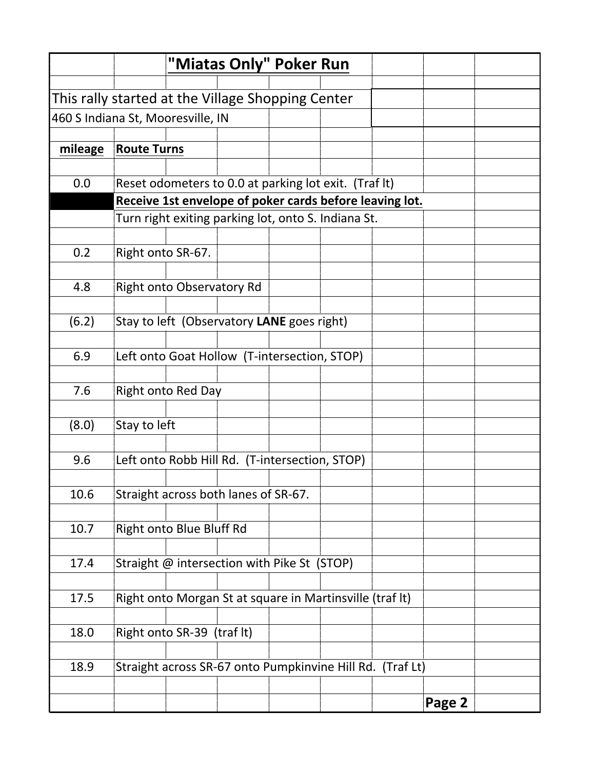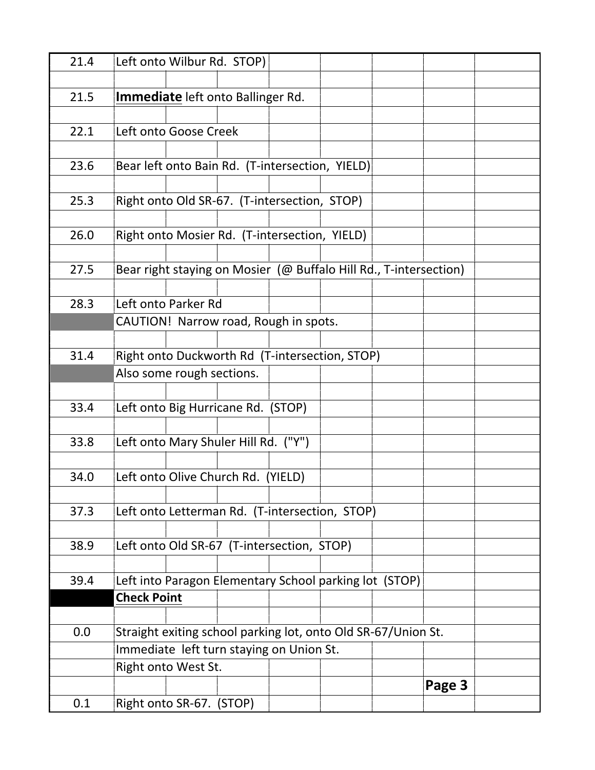| 21.4 | Left onto Wilbur Rd. STOP)                                        |        |  |
|------|-------------------------------------------------------------------|--------|--|
|      |                                                                   |        |  |
| 21.5 | <b>Immediate</b> left onto Ballinger Rd.                          |        |  |
| 22.1 | Left onto Goose Creek                                             |        |  |
|      |                                                                   |        |  |
| 23.6 | Bear left onto Bain Rd. (T-intersection, YIELD)                   |        |  |
|      |                                                                   |        |  |
| 25.3 | Right onto Old SR-67. (T-intersection, STOP)                      |        |  |
| 26.0 | Right onto Mosier Rd. (T-intersection, YIELD)                     |        |  |
|      |                                                                   |        |  |
| 27.5 | Bear right staying on Mosier (@ Buffalo Hill Rd., T-intersection) |        |  |
|      |                                                                   |        |  |
| 28.3 | Left onto Parker Rd                                               |        |  |
|      | CAUTION! Narrow road, Rough in spots.                             |        |  |
|      |                                                                   |        |  |
| 31.4 | Right onto Duckworth Rd (T-intersection, STOP)                    |        |  |
|      | Also some rough sections.                                         |        |  |
|      |                                                                   |        |  |
| 33.4 | Left onto Big Hurricane Rd. (STOP)                                |        |  |
| 33.8 | Left onto Mary Shuler Hill Rd. ("Y")                              |        |  |
|      |                                                                   |        |  |
| 34.0 | Left onto Olive Church Rd. (YIELD)                                |        |  |
|      |                                                                   |        |  |
| 37.3 | Left onto Letterman Rd. (T-intersection, STOP)                    |        |  |
|      |                                                                   |        |  |
| 38.9 | Left onto Old SR-67 (T-intersection, STOP)                        |        |  |
|      |                                                                   |        |  |
| 39.4 | Left into Paragon Elementary School parking lot (STOP)            |        |  |
|      | <b>Check Point</b>                                                |        |  |
| 0.0  | Straight exiting school parking lot, onto Old SR-67/Union St.     |        |  |
|      | Immediate left turn staying on Union St.                          |        |  |
|      | Right onto West St.                                               |        |  |
|      |                                                                   | Page 3 |  |
| 0.1  | Right onto SR-67. (STOP)                                          |        |  |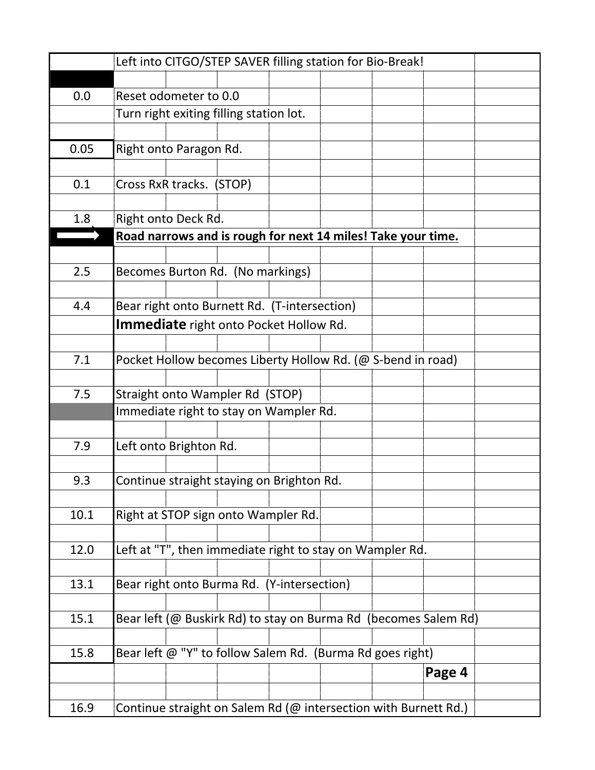|      | Left into CITGO/STEP SAVER filling station for Bio-Break!       |  |
|------|-----------------------------------------------------------------|--|
|      |                                                                 |  |
| 0.0  | Reset odometer to 0.0                                           |  |
|      | Turn right exiting filling station lot.                         |  |
|      |                                                                 |  |
| 0.05 | Right onto Paragon Rd.                                          |  |
|      |                                                                 |  |
| 0.1  | Cross RxR tracks. (STOP)                                        |  |
|      |                                                                 |  |
| 1.8  | Right onto Deck Rd.                                             |  |
|      | Road narrows and is rough for next 14 miles! Take your time.    |  |
|      |                                                                 |  |
| 2.5  | Becomes Burton Rd. (No markings)                                |  |
|      |                                                                 |  |
| 4.4  | Bear right onto Burnett Rd. (T-intersection)                    |  |
|      | <b>Immediate</b> right onto Pocket Hollow Rd.                   |  |
|      |                                                                 |  |
| 7.1  | Pocket Hollow becomes Liberty Hollow Rd. (@ S-bend in road)     |  |
|      |                                                                 |  |
| 7.5  | Straight onto Wampler Rd (STOP)                                 |  |
|      | Immediate right to stay on Wampler Rd.                          |  |
|      |                                                                 |  |
| 7.9  | Left onto Brighton Rd.                                          |  |
|      |                                                                 |  |
| 9.3  | Continue straight staying on Brighton Rd.                       |  |
|      |                                                                 |  |
| 10.1 | Right at STOP sign onto Wampler Rd.                             |  |
|      |                                                                 |  |
| 12.0 | Left at "T", then immediate right to stay on Wampler Rd.        |  |
|      |                                                                 |  |
| 13.1 | Bear right onto Burma Rd. (Y-intersection)                      |  |
|      |                                                                 |  |
| 15.1 | Bear left (@ Buskirk Rd) to stay on Burma Rd (becomes Salem Rd) |  |
|      |                                                                 |  |
| 15.8 | Bear left @ "Y" to follow Salem Rd. (Burma Rd goes right)       |  |
|      | Page 4                                                          |  |
|      |                                                                 |  |
| 16.9 | Continue straight on Salem Rd (@ intersection with Burnett Rd.) |  |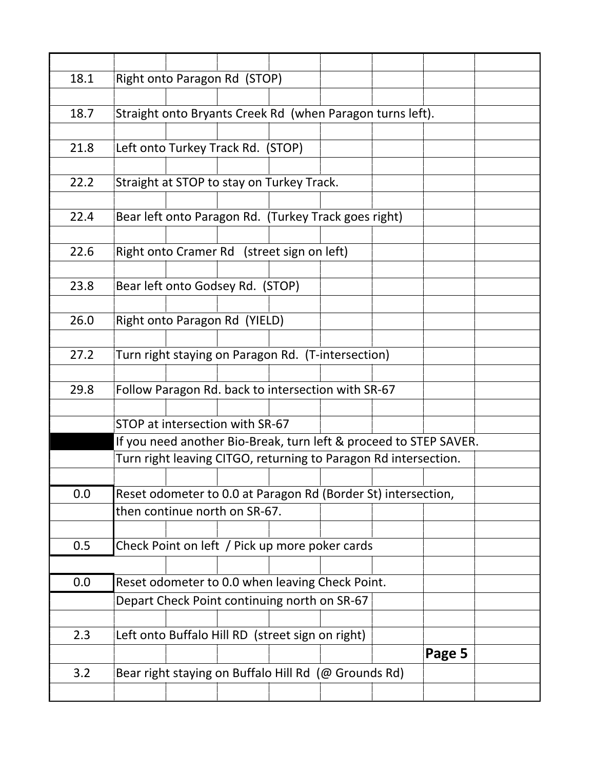| 18.1 | Right onto Paragon Rd (STOP)                                      |
|------|-------------------------------------------------------------------|
|      |                                                                   |
| 18.7 | Straight onto Bryants Creek Rd (when Paragon turns left).         |
|      |                                                                   |
| 21.8 | Left onto Turkey Track Rd. (STOP)                                 |
|      |                                                                   |
| 22.2 | Straight at STOP to stay on Turkey Track.                         |
|      |                                                                   |
| 22.4 | Bear left onto Paragon Rd. (Turkey Track goes right)              |
|      |                                                                   |
| 22.6 | Right onto Cramer Rd (street sign on left)                        |
|      |                                                                   |
| 23.8 | Bear left onto Godsey Rd. (STOP)                                  |
|      |                                                                   |
| 26.0 | Right onto Paragon Rd (YIELD)                                     |
|      |                                                                   |
| 27.2 | Turn right staying on Paragon Rd. (T-intersection)                |
|      |                                                                   |
| 29.8 | Follow Paragon Rd. back to intersection with SR-67                |
|      |                                                                   |
|      | STOP at intersection with SR-67                                   |
|      | If you need another Bio-Break, turn left & proceed to STEP SAVER. |
|      | Turn right leaving CITGO, returning to Paragon Rd intersection.   |
|      |                                                                   |
| 0.0  | Reset odometer to 0.0 at Paragon Rd (Border St) intersection,     |
|      | then continue north on SR-67.                                     |
|      |                                                                   |
| 0.5  | Check Point on left / Pick up more poker cards                    |
|      |                                                                   |
| 0.0  | Reset odometer to 0.0 when leaving Check Point.                   |
|      | Depart Check Point continuing north on SR-67                      |
|      |                                                                   |
| 2.3  | Left onto Buffalo Hill RD (street sign on right)                  |
|      | Page 5                                                            |
| 3.2  | Bear right staying on Buffalo Hill Rd (@ Grounds Rd)              |
|      |                                                                   |